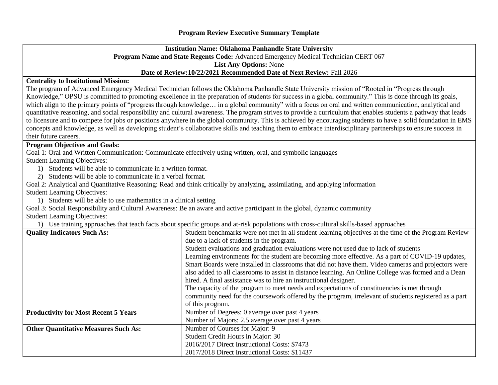## **Institution Name: Oklahoma Panhandle State University Program Name and State Regents Code:** Advanced Emergency Medical Technician CERT 067 **List Any Options:** None **Date of Review:10/22/2021 Recommended Date of Next Review:** Fall 2026

## **Centrality to Institutional Mission:**

The program of Advanced Emergency Medical Technician follows the Oklahoma Panhandle State University mission of "Rooted in "Progress through Knowledge," OPSU is committed to promoting excellence in the preparation of students for success in a global community." This is done through its goals, which align to the primary points of "progress through knowledge... in a global community" with a focus on oral and written communication, analytical and quantitative reasoning, and social responsibility and cultural awareness. The program strives to provide a curriculum that enables students a pathway that leads to licensure and to compete for jobs or positions anywhere in the global community. This is achieved by encouraging students to have a solid foundation in EMS concepts and knowledge, as well as developing student's collaborative skills and teaching them to embrace interdisciplinary partnerships to ensure success in their future careers.

## **Program Objectives and Goals:**

Goal 1: Oral and Written Communication: Communicate effectively using written, oral, and symbolic languages

Student Learning Objectives:

1) Students will be able to communicate in a written format.

2) Students will be able to communicate in a verbal format.

Goal 2: Analytical and Quantitative Reasoning: Read and think critically by analyzing, assimilating, and applying information Student Learning Objectives:

1) Students will be able to use mathematics in a clinical setting

Goal 3: Social Responsibility and Cultural Awareness: Be an aware and active participant in the global, dynamic community

Student Learning Objectives:

1) Use training approaches that teach facts about specific groups and at-risk populations with cross-cultural skills-based approaches

| <b>Quality Indicators Such As:</b>          | Student benchmarks were not met in all student-learning objectives at the time of the Program Review  |  |  |  |  |  |
|---------------------------------------------|-------------------------------------------------------------------------------------------------------|--|--|--|--|--|
|                                             | due to a lack of students in the program.                                                             |  |  |  |  |  |
|                                             | Student evaluations and graduation evaluations were not used due to lack of students                  |  |  |  |  |  |
|                                             | Learning environments for the student are becoming more effective. As a part of COVID-19 updates,     |  |  |  |  |  |
|                                             | Smart Boards were installed in classrooms that did not have them. Video cameras and projectors were   |  |  |  |  |  |
|                                             | also added to all classrooms to assist in distance learning. An Online College was formed and a Dean  |  |  |  |  |  |
|                                             | hired. A final assistance was to hire an instructional designer.                                      |  |  |  |  |  |
|                                             | The capacity of the program to meet needs and expectations of constituencies is met through           |  |  |  |  |  |
|                                             | community need for the coursework offered by the program, irrelevant of students registered as a part |  |  |  |  |  |
|                                             | of this program.                                                                                      |  |  |  |  |  |
| <b>Productivity for Most Recent 5 Years</b> | Number of Degrees: 0 average over past 4 years                                                        |  |  |  |  |  |
|                                             | Number of Majors: 2.5 average over past 4 years                                                       |  |  |  |  |  |
| <b>Other Quantitative Measures Such As:</b> | Number of Courses for Major: 9                                                                        |  |  |  |  |  |
|                                             | Student Credit Hours in Major: 30                                                                     |  |  |  |  |  |
|                                             | 2016/2017 Direct Instructional Costs: \$7473                                                          |  |  |  |  |  |
|                                             | 2017/2018 Direct Instructional Costs: \$11437                                                         |  |  |  |  |  |